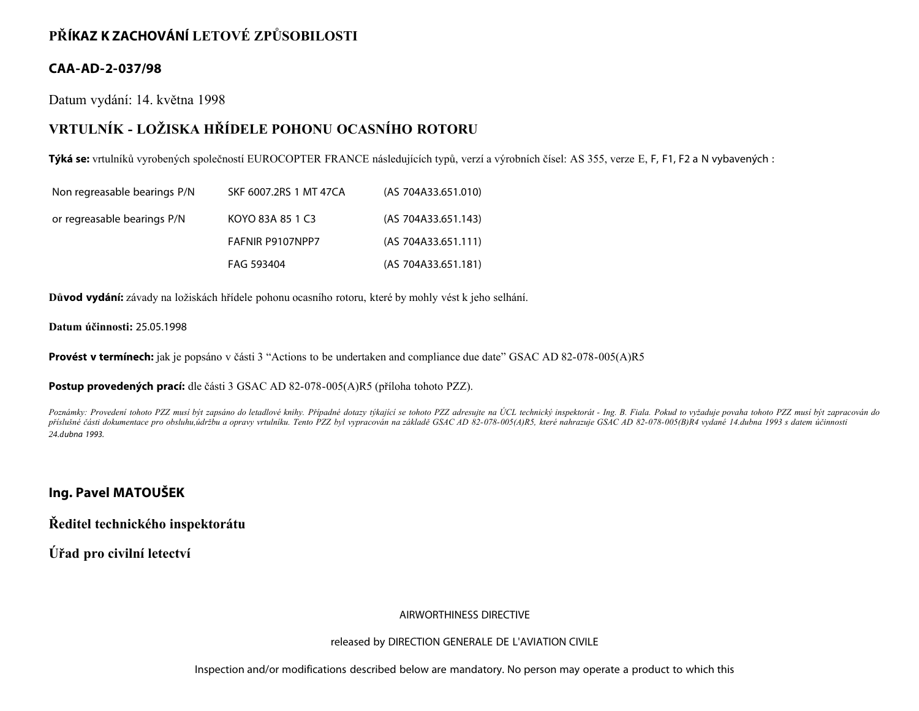# **PŘÍKAZ K ZACHOVÁNÍ LETOVÉ ZPŮSOBILOSTI**

# **CAA-AD-2-037/98**

Datum vydání: 14. května 1998

# **VRTULNÍK - LOŽISKA HŘÍDELE POHONU OCASNÍHO ROTORU**

**Týká se:** vrtulníků vyrobených společností EUROCOPTER FRANCE následujících typů, verzí a výrobních čísel: AS 355, verze E, F, F1, F2 a N vybavených :

| Non regreasable bearings P/N | SKF 6007.2RS 1 MT 47CA | (AS 704A33.651.010) |
|------------------------------|------------------------|---------------------|
| or regreasable bearings P/N  | KOYO 83A 85 1 C3       | (AS 704A33.651.143) |
|                              | FAFNIR P9107NPP7       | (AS 704A33.651.111) |
|                              | FAG 593404             | (AS 704A33.651.181) |

**Důvod vydání:** závady na ložiskách hřídele pohonu ocasního rotoru, které by mohly vést k jeho selhání.

**Datum účinnosti:** 25.05.1998

**Provést v termínech:** jak je popsáno v části 3 "Actions to be undertaken and compliance due date" GSAC AD 82-078-005(A)R5

**Postup provedených prací:** dle části 3 GSAC AD 82-078-005(A)R5 (příloha tohoto PZZ).

Poznámky: Provedení tohoto PZZ musí být zapsáno do letadlové knihy. Případné dotazy týkající se tohoto PZZ adresujte na ÚCL technický inspektorát - Ing. B. Fiala. Pokud to vyžaduje povaha tohoto PZZ musí být zapracován do *příslušné části dokumentace pro obsluhu,údržbu a opravy vrtulníku. Tento PZZ byl vypracován na základě GSAC AD 82-078-005(A)R5, které nahrazuje GSAC AD 82-078-005(B)R4 vydané 14.dubna 1993 s datem účinnosti 24.dubna 1993.*

## **Ing. Pavel MATOUŠEK**

**Ředitel technického inspektorátu**

**Úřad pro civilní letectví**

### AIRWORTHINESS DIRECTIVE

#### released by DIRECTION GENERALE DE L'AVIATION CIVILE

Inspection and/or modifications described below are mandatory. No person may operate a product to which this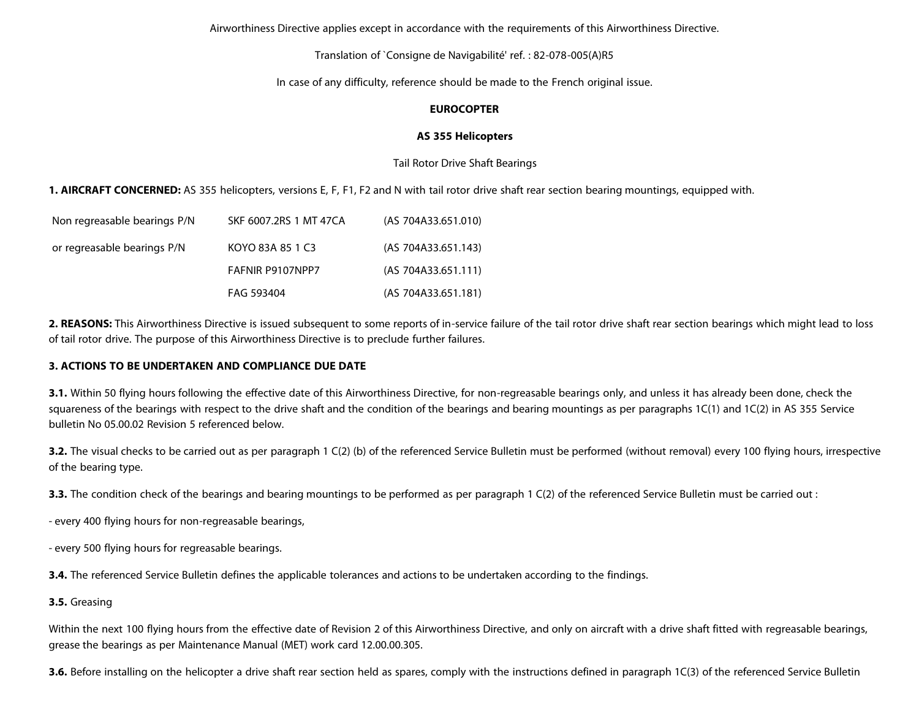Airworthiness Directive applies except in accordance with the requirements of this Airworthiness Directive.

Translation of `Consigne de Navigabilité' ref. : 82-078-005(A)R5

In case of any difficulty, reference should be made to the French original issue.

#### **EUROCOPTER**

#### **AS 355 Helicopters**

Tail Rotor Drive Shaft Bearings

**1. AIRCRAFT CONCERNED:** AS 355 helicopters, versions E, F, F1, F2 and N with tail rotor drive shaft rear section bearing mountings, equipped with.

| Non regreasable bearings P/N | SKF 6007.2RS 1 MT 47CA | (AS 704A33.651.010) |
|------------------------------|------------------------|---------------------|
| or regreasable bearings P/N  | KOYO 83A 85 1 C3       | (AS 704A33.651.143) |
|                              | FAFNIR P9107NPP7       | (AS 704A33.651.111) |
|                              | FAG 593404             | (AS 704A33.651.181) |

**2. REASONS:** This Airworthiness Directive is issued subsequent to some reports of in-service failure of the tail rotor drive shaft rear section bearings which might lead to loss of tail rotor drive. The purpose of this Airworthiness Directive is to preclude further failures.

#### **3. ACTIONS TO BE UNDERTAKEN AND COMPLIANCE DUE DATE**

**3.1.** Within 50 flying hours following the effective date of this Airworthiness Directive, for non-regreasable bearings only, and unless it has already been done, check the squareness of the bearings with respect to the drive shaft and the condition of the bearings and bearing mountings as per paragraphs 1C(1) and 1C(2) in AS 355 Service bulletin No 05.00.02 Revision 5 referenced below.

**3.2.** The visual checks to be carried out as per paragraph 1 C(2) (b) of the referenced Service Bulletin must be performed (without removal) every 100 flying hours, irrespective of the bearing type.

**3.3.** The condition check of the bearings and bearing mountings to be performed as per paragraph 1 C(2) of the referenced Service Bulletin must be carried out :

- every 400 flying hours for non-regreasable bearings,

- every 500 flying hours for regreasable bearings.

**3.4.** The referenced Service Bulletin defines the applicable tolerances and actions to be undertaken according to the findings.

#### **3.5.** Greasing

Within the next 100 flying hours from the effective date of Revision 2 of this Airworthiness Directive, and only on aircraft with a drive shaft fitted with regreasable bearings, grease the bearings as per Maintenance Manual (MET) work card 12.00.00.305.

**3.6.** Before installing on the helicopter a drive shaft rear section held as spares, comply with the instructions defined in paragraph 1C(3) of the referenced Service Bulletin